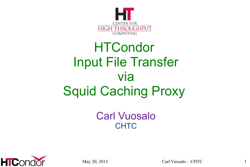

#### **HTCondor** Input File Transfer via Squid Caching Proxy

Carl Vuosalo **CHTC** 



May  $20$ ,  $2015$  Carl Vuosalo – CHTC 1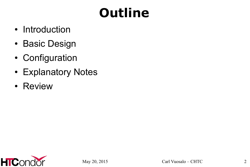## **Outline**

- Introduction
- Basic Design
- Configuration
- Explanatory Notes
- Review

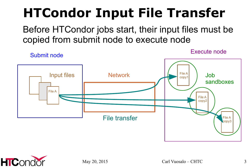#### **HTCondor Input File Transfer**

Before HTCondor jobs start, their input files must be copied from submit node to execute node



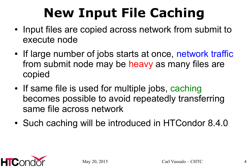## **New Input File Caching**

- Input files are copied across network from submit to execute node
- If large number of jobs starts at once, network traffic from submit node may be heavy as many files are copied
- If same file is used for multiple jobs, caching becomes possible to avoid repeatedly transferring same file across network
- Such caching will be introduced in HTCondor 8.4.0

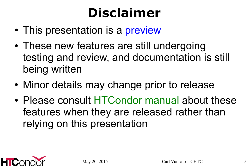#### **Disclaimer**

- This presentation is a preview
- These new features are still undergoing testing and review, and documentation is still being written
- Minor details may change prior to release
- Please consult HTCondor manual about these features when they are released rather than relying on this presentation

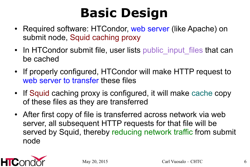#### **Basic Design**

- Required software: HTCondor, web server (like Apache) on submit node, Squid caching proxy
- In HTCondor submit file, user lists public input files that can be cached
- If properly configured, HTCondor will make HTTP request to web server to transfer these files
- If Squid caching proxy is configured, it will make cache copy of these files as they are transferred
- After first copy of file is transferred across network via web server, all subsequent HTTP requests for that file will be served by Squid, thereby reducing network traffic from submit node

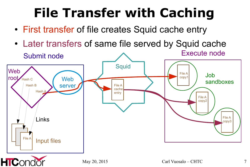#### **File Transfer with Caching**

- First transfer of file creates Squid cache entry
- Later transfers of same file served by Squid cache Execute node



May  $20, 2015$  Carl Vuosalo – CHTC  $7$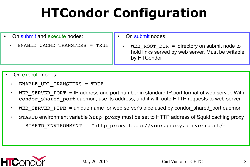## **HTCondor Configuration**

- On submit and execute nodes:
	- ENABLE CACHE TRANSFERS = TRUE
- On submit nodes:
	- WEB\_ROOT\_DIR = directory on submit node to hold links served by web server. Must be writable by HTCondor

- On execute nodes:
	- ➤ ENABLE\_URL\_TRANSFERS = TRUE
	- $\triangleright$  WEB SERVER PORT = IP address and port number in standard IP: port format of web server. With condor shared port daemon, use its address, and it will route HTTP requests to web server
	- ► WEB SERVER PIPE = unique name for web server's pipe used by condor shared port daemon
	- ➤ STARTD environment variable http\_proxy must be set to HTTP address of Squid caching proxy
		- STARTD ENVIRONMENT = "http proxy=http://your.proxy.server:port/"

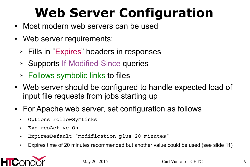## **Web Server Configuration**

- Most modern web servers can be used
- Web server requirements:
	- ➤ Fills in "Expires" headers in responses
	- ➤ Supports If-Modified-Since queries
	- ➤ Follows symbolic links to files
- Web server should be configured to handle expected load of input file requests from jobs starting up
- For Apache web server, set configuration as follows
	- ➤ Options FollowSymLinks
	- ➤ ExpiresActive On
	- ➤ ExpiresDefault "modification plus 20 minutes"
	- ➤ Expires time of 20 minutes recommended but another value could be used (see slide 11)

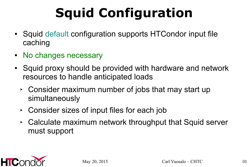# **Squid Configuration**

- Squid default configuration supports HTCondor input file caching
- No changes necessary
- Squid proxy should be provided with hardware and network resources to handle anticipated loads
	- ➤ Consider maximum number of jobs that may start up simultaneously
	- ➤ Consider sizes of input files for each job
	- ➤ Calculate maximum network throughput that Squid server must support

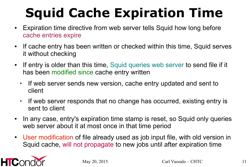## **Squid Cache Expiration Time**

- Expiration time directive from web server tells Squid how long before cache entries expire
- If cache entry has been written or checked within this time, Squid serves it without checking
- If entry is older than this time, Squid queries web server to send file if it has been modified since cache entry written
	- ➤ If web server sends new version, cache entry updated and sent to client
	- ➤ If web server responds that no change has occurred, existing entry is sent to client
- In any case, entry's expiration time stamp is reset, so Squid only queries web server about it at most once in that time period
- User modification of file already used as job input file, with old version in Squid cache, will not propagate to new jobs until after expiration time

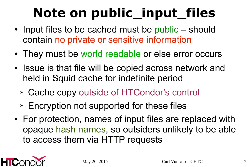## **Note on public\_input\_files**

- Input files to be cached must be public should contain no private or sensitive information
- They must be world readable or else error occurs
- Issue is that file will be copied across network and held in Squid cache for indefinite period
	- ➤ Cache copy outside of HTCondor's control
	- ➤ Encryption not supported for these files
- For protection, names of input files are replaced with opaque hash names, so outsiders unlikely to be able to access them via HTTP requests

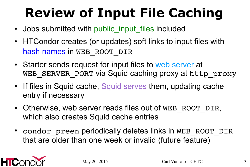## **Review of Input File Caching**

- Jobs submitted with public input files included
- HTCondor creates (or updates) soft links to input files with hash names in WEB ROOT DIR
- Starter sends request for input files to web server at WEB SERVER PORT via Squid caching proxy at http proxy
- If files in Squid cache, Squid serves them, updating cache entry if necessary
- Otherwise, web server reads files out of WEB\_ROOT\_DIR, which also creates Squid cache entries
- condor preen periodically deletes links in WEB\_ROOT\_DIR that are older than one week or invalid (future feature)